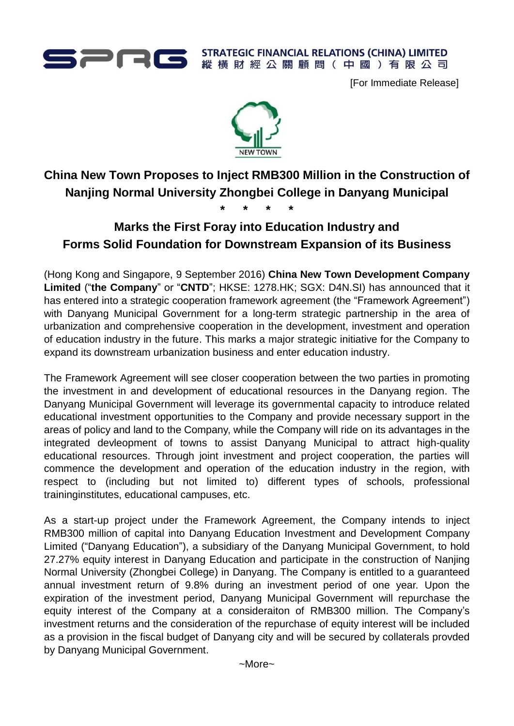

**STRATEGIC FINANCIAL RELATIONS (CHINA) LIMITED** 縱橫財經公關顧問(中國)有限公司

[For Immediate Release]



## **China New Town Proposes to Inject RMB300 Million in the Construction of Nanjing Normal University Zhongbei College in Danyang Municipal**

**\* \* \* \***

**Marks the First Foray into Education Industry and Forms Solid Foundation for Downstream Expansion of its Business**

(Hong Kong and Singapore, 9 September 2016) **China New Town Development Company Limited** ("**the Company**" or "**CNTD**"; HKSE: 1278.HK; SGX: D4N.SI) has announced that it has entered into a strategic cooperation framework agreement (the "Framework Agreement") with Danyang Municipal Government for a long-term strategic partnership in the area of urbanization and comprehensive cooperation in the development, investment and operation of education industry in the future. This marks a major strategic initiative for the Company to expand its downstream urbanization business and enter education industry.

The Framework Agreement will see closer cooperation between the two parties in promoting the investment in and development of educational resources in the Danyang region. The Danyang Municipal Government will leverage its governmental capacity to introduce related educational investment opportunities to the Company and provide necessary support in the areas of policy and land to the Company, while the Company will ride on its advantages in the integrated devleopment of towns to assist Danyang Municipal to attract high-quality educational resources. Through joint investment and project cooperation, the parties will commence the development and operation of the education industry in the region, with respect to (including but not limited to) different types of schools, professional traininginstitutes, educational campuses, etc.

As a start-up project under the Framework Agreement, the Company intends to inject RMB300 million of capital into Danyang Education Investment and Development Company Limited ("Danyang Education"), a subsidiary of the Danyang Municipal Government, to hold 27.27% equity interest in Danyang Education and participate in the construction of Nanjing Normal University (Zhongbei College) in Danyang. The Company is entitled to a guaranteed annual investment return of 9.8% during an investment period of one year. Upon the expiration of the investment period, Danyang Municipal Government will repurchase the equity interest of the Company at a consideraiton of RMB300 million. The Company's investment returns and the consideration of the repurchase of equity interest will be included as a provision in the fiscal budget of Danyang city and will be secured by collaterals provded by Danyang Municipal Government.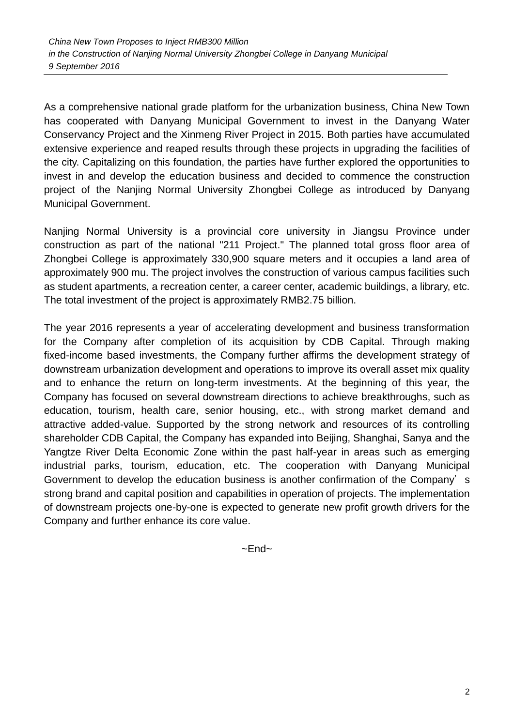As a comprehensive national grade platform for the urbanization business, China New Town has cooperated with Danyang Municipal Government to invest in the Danyang Water Conservancy Project and the Xinmeng River Project in 2015. Both parties have accumulated extensive experience and reaped results through these projects in upgrading the facilities of the city. Capitalizing on this foundation, the parties have further explored the opportunities to invest in and develop the education business and decided to commence the construction project of the Nanjing Normal University Zhongbei College as introduced by Danyang Municipal Government.

Nanjing Normal University is a provincial core university in Jiangsu Province under construction as part of the national "211 Project." The planned total gross floor area of Zhongbei College is approximately 330,900 square meters and it occupies a land area of approximately 900 mu. The project involves the construction of various campus facilities such as student apartments, a recreation center, a career center, academic buildings, a library, etc. The total investment of the project is approximately RMB2.75 billion.

The year 2016 represents a year of accelerating development and business transformation for the Company after completion of its acquisition by CDB Capital. Through making fixed-income based investments, the Company further affirms the development strategy of downstream urbanization development and operations to improve its overall asset mix quality and to enhance the return on long-term investments. At the beginning of this year, the Company has focused on several downstream directions to achieve breakthroughs, such as education, tourism, health care, senior housing, etc., with strong market demand and attractive added-value. Supported by the strong network and resources of its controlling shareholder CDB Capital, the Company has expanded into Beijing, Shanghai, Sanya and the Yangtze River Delta Economic Zone within the past half-year in areas such as emerging industrial parks, tourism, education, etc. The cooperation with Danyang Municipal Government to develop the education business is another confirmation of the Company's strong brand and capital position and capabilities in operation of projects. The implementation of downstream projects one-by-one is expected to generate new profit growth drivers for the Company and further enhance its core value.

 $\neg$ End $\neg$